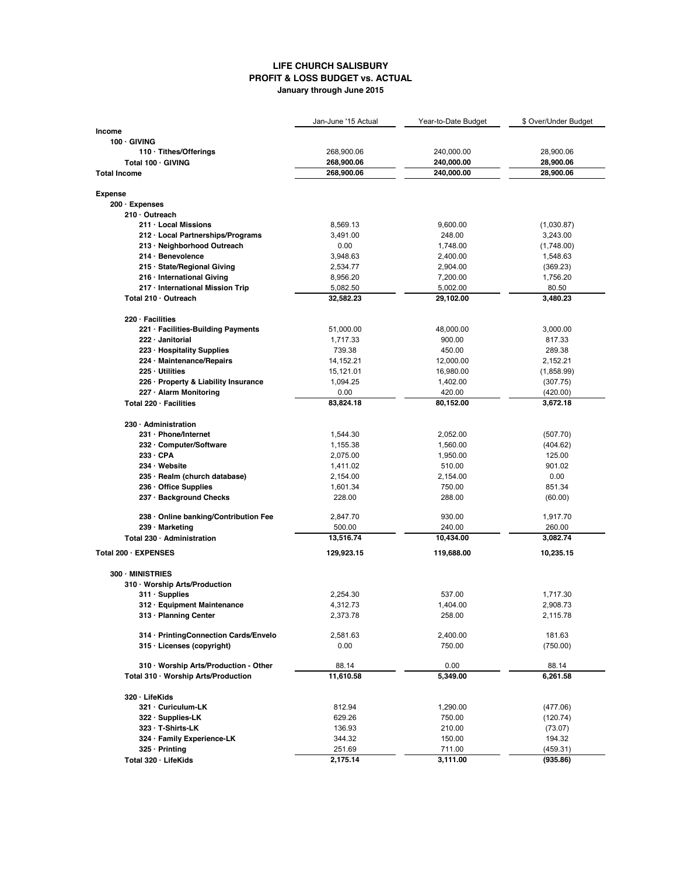## **LIFE CHURCH SALISBURY PROFIT & LOSS BUDGET vs. ACTUAL January through June 2015**

|                                       | Jan-June '15 Actual | Year-to-Date Budget | \$ Over/Under Budget |
|---------------------------------------|---------------------|---------------------|----------------------|
| <b>Income</b>                         |                     |                     |                      |
| $100 \cdot$ GIVING                    |                     |                     |                      |
| 110 · Tithes/Offerings                | 268,900.06          | 240,000.00          | 28,900.06            |
| Total 100 · GIVING                    | 268,900.06          | 240,000.00          | 28,900.06            |
| <b>Total Income</b>                   | 268,900.06          | 240,000.00          | 28,900.06            |
|                                       |                     |                     |                      |
| <b>Expense</b>                        |                     |                     |                      |
| 200 · Expenses                        |                     |                     |                      |
| $210 \cdot$ Outreach                  |                     |                     |                      |
| 211 · Local Missions                  | 8,569.13            | 9,600.00            | (1,030.87)           |
| 212 · Local Partnerships/Programs     | 3,491.00            | 248.00              | 3,243.00             |
| 213 · Neighborhood Outreach           | 0.00                | 1,748.00            | (1,748.00)           |
| $214 \cdot$ Benevolence               | 3,948.63            | 2,400.00            | 1,548.63             |
| 215 · State/Regional Giving           | 2,534.77            | 2,904.00            | (369.23)             |
| 216 · International Giving            | 8,956.20            | 7,200.00            | 1,756.20             |
| 217 · International Mission Trip      | 5,082.50            | 5,002.00            | 80.50                |
| Total 210 · Outreach                  | 32,582.23           | 29,102.00           | 3,480.23             |
|                                       |                     |                     |                      |
| $220 \cdot$ Facilities                |                     |                     |                      |
| 221 · Facilities-Building Payments    | 51,000.00           | 48,000.00           | 3,000.00             |
| 222 · Janitorial                      | 1,717.33            | 900.00              | 817.33               |
| 223 · Hospitality Supplies            | 739.38              | 450.00              | 289.38               |
| 224 · Maintenance/Repairs             | 14, 152. 21         | 12,000.00           | 2,152.21             |
| $225 \cdot$ Utilities                 | 15,121.01           | 16,980.00           | (1,858.99)           |
| 226 · Property & Liability Insurance  | 1,094.25            | 1,402.00            | (307.75)             |
| 227 · Alarm Monitoring                | 0.00                | 420.00              | (420.00)             |
| Total $220 \cdot$ Facilities          | 83,824.18           | 80,152.00           | 3,672.18             |
|                                       |                     |                     |                      |
| $230 \cdot$ Administration            |                     |                     |                      |
| 231 · Phone/Internet                  | 1,544.30            | 2,052.00            | (507.70)             |
| 232 · Computer/Software               | 1,155.38            | 1,560.00            | (404.62)             |
| 233 · CPA                             | 2,075.00            | 1,950.00            | 125.00               |
| $234 \cdot$ Website                   | 1,411.02            | 510.00              | 901.02               |
| 235 · Realm (church database)         | 2,154.00            | 2,154.00            | 0.00                 |
| 236 · Office Supplies                 | 1,601.34            | 750.00              | 851.34               |
| 237 · Background Checks               | 228.00              | 288.00              | (60.00)              |
|                                       |                     |                     |                      |
| 238 · Online banking/Contribution Fee | 2,847.70            | 930.00              | 1,917.70             |
| 239 · Marketing                       | 500.00              | 240.00              | 260.00               |
| Total 230 · Administration            | 13,516.74           | 10,434.00           | 3,082.74             |
|                                       |                     |                     |                      |
| Total 200 · EXPENSES                  | 129,923.15          | 119,688.00          | 10,235.15            |
| 300 · MINISTRIES                      |                     |                     |                      |
| 310 · Worship Arts/Production         |                     |                     |                      |
| $311 \cdot$ Supplies                  | 2,254.30            | 537.00              | 1,717.30             |
| 312 · Equipment Maintenance           | 4,312.73            |                     | 2,908.73             |
| 313 · Planning Center                 | 2,373.78            | 1,404.00<br>258.00  | 2,115.78             |
|                                       |                     |                     |                      |
| 314 · PrintingConnection Cards/Envelo | 2,581.63            | 2,400.00            | 181.63               |
| 315 · Licenses (copyright)            | 0.00                | 750.00              | (750.00)             |
|                                       |                     |                     |                      |
| 310 · Worship Arts/Production - Other | 88.14               | 0.00                | 88.14                |
| Total 310 · Worship Arts/Production   | 11,610.58           | 5,349.00            | 6,261.58             |
|                                       |                     |                     |                      |
| 320 · LifeKids                        |                     |                     |                      |
| 321 · Curiculum-LK                    | 812.94              | 1,290.00            | (477.06)             |
| 322 · Supplies-LK                     | 629.26              | 750.00              | (120.74)             |
| 323 · T-Shirts-LK                     | 136.93              | 210.00              | (73.07)              |
| 324 · Family Experience-LK            | 344.32              | 150.00              | 194.32               |
| $325 \cdot$ Printing                  | 251.69              | 711.00              | (459.31)             |
| Total 320 · LifeKids                  | 2,175.14            | 3,111.00            | (935.86)             |
|                                       |                     |                     |                      |